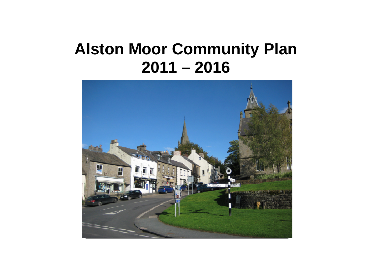# **Alston Moor Community Plan 2011 – 2016**

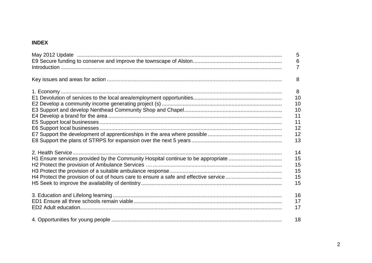## **INDEX**

|                                                                                  | 5<br>6<br>$\overline{7}$ |
|----------------------------------------------------------------------------------|--------------------------|
|                                                                                  | 8                        |
|                                                                                  | 8                        |
|                                                                                  | 10                       |
|                                                                                  | 10                       |
|                                                                                  | 10                       |
|                                                                                  | 11                       |
|                                                                                  | 11                       |
|                                                                                  | 12                       |
|                                                                                  | 12                       |
|                                                                                  | 13                       |
|                                                                                  | 14                       |
| H1 Ensure services provided by the Community Hospital continue to be appropriate | 15                       |
|                                                                                  | 15                       |
|                                                                                  | 15                       |
|                                                                                  | 15                       |
|                                                                                  | 15                       |
|                                                                                  | 16                       |
|                                                                                  | 17                       |
|                                                                                  | 17                       |
|                                                                                  | 18                       |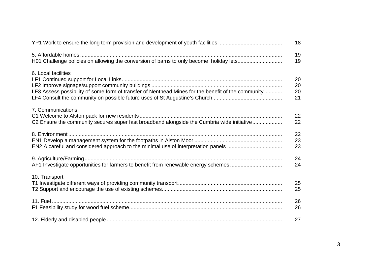|                                                                                                                           | 18                   |
|---------------------------------------------------------------------------------------------------------------------------|----------------------|
| H01 Challenge policies on allowing the conversion of barns to only become holiday lets                                    | 19<br>19             |
| 6. Local facilities<br>LF3 Assess possibility of some form of transfer of Nenthead Mines for the benefit of the community | 20<br>20<br>20<br>21 |
| 7. Communications<br>C2 Ensure the community secures super fast broadband alongside the Cumbria wide initiative           | 22<br>22             |
|                                                                                                                           | 22<br>23<br>23       |
| AF1 Investigate opportunities for farmers to benefit from renewable energy schemes                                        | 24<br>24             |
| 10. Transport                                                                                                             | 25<br>25             |
|                                                                                                                           | 26<br>26             |
|                                                                                                                           | 27                   |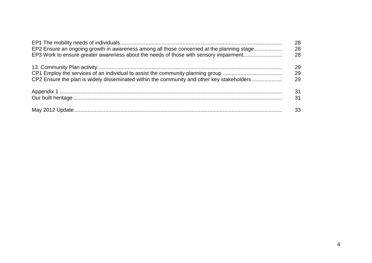|                                                                                            | 28 |
|--------------------------------------------------------------------------------------------|----|
| EP2 Ensure an ongoing growth in awareness among all those concerned at the planning stage  | 28 |
| EP3 Work to ensure greater awareness about the needs of those with sensory impairment      | 28 |
|                                                                                            | 29 |
|                                                                                            | 29 |
| CP2 Ensure the plan is widely disseminated within the community and other key stakeholders | 29 |
|                                                                                            | 31 |
|                                                                                            | 31 |
|                                                                                            | 33 |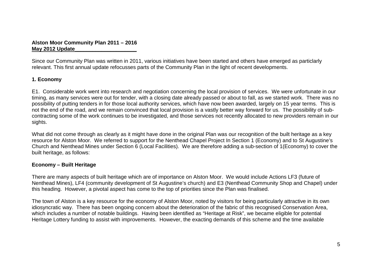## **Alston Moor Community Plan 2011 – 2016 May 2012 Update\_\_\_\_\_\_\_\_\_\_\_\_\_\_\_\_\_\_\_\_\_**

Since our Community Plan was written in 2011, various initiatives have been started and others have emerged as particlarly relevant. This first annual update refocusses parts of the Community Plan in the light of recent developments.

## **1. Economy**

E1. Considerable work went into research and negotiation concerning the local provision of services. We were unfortunate in our timing, as many services were out for tender, with a closing date already passed or about to fall, as we started work. There was no possibility of putting tenders in for those local authority services, which have now been awarded, largely on 15 year terms. This is not the end of the road, and we remain convinced that local provision is a vastly better way forward for us. The possibility of subcontracting some of the work continues to be investigated, and those services not recently allocated to new providers remain in our sights.

What did not come through as clearly as it might have done in the original Plan was our recognition of the built heritage as a key resource for Alston Moor. We referred to support for the Nenthead Chapel Project In Section 1 (Economy) and to St Augustine's Church and Nenthead Mines under Section 6 (Local Facilities). We are therefore adding a sub-section of 1(Economy) to cover the built heritage, as follows:

## **Economy – Built Heritage**

There are many aspects of built heritage which are of importance on Alston Moor. We would include Actions LF3 (future of Nenthead Mines), LF4 (community development of St Augustine's church) and E3 (Nenthead Community Shop and Chapel) under this heading. However, a pivotal aspect has come to the top of priorities since the Plan was finalised.

The town of Alston is a key resource for the economy of Alston Moor, noted by visitors for being particularly attractive in its own idiosyncratic way. There has been ongoing concern about the deterioration of the fabric of this recognised Conservation Area, which includes a number of notable buildings. Having been identified as "Heritage at Risk", we became eligible for potential Heritage Lottery funding to assist with improvements. However, the exacting demands of this scheme and the time available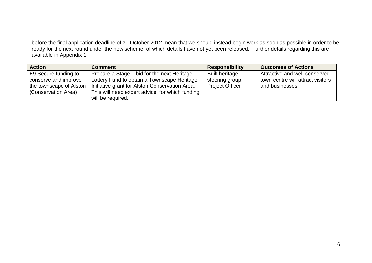before the final application deadline of 31 October 2012 mean that we should instead begin work as soon as possible in order to be<br>ready for the next round under the new scheme, of which details have not yet been released. available in Appendix 1.

| <b>Action</b>           | <b>Comment</b>                                  | <b>Responsibility</b>  | <b>Outcomes of Actions</b>        |
|-------------------------|-------------------------------------------------|------------------------|-----------------------------------|
| E9 Secure funding to    | Prepare a Stage 1 bid for the next Heritage     | <b>Built heritage</b>  | Attractive and well-conserved     |
| conserve and improve    | Lottery Fund to obtain a Townscape Heritage     | steering group;        | town centre will attract visitors |
| the townscape of Alston | Initiative grant for Alston Conservation Area.  | <b>Project Officer</b> | and businesses.                   |
| (Conservation Area)     | This will need expert advice, for which funding |                        |                                   |
|                         | will be required.                               |                        |                                   |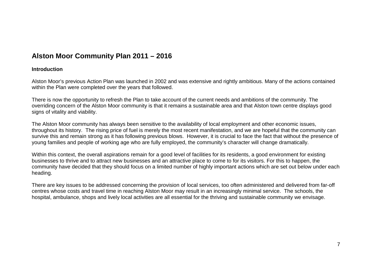## **Alston Moor Community Plan 2011 – 2016**

#### **Introduction**

Alston Moor's previous Action Plan was launched in 2002 and was extensive and rightly ambitious. Many of the actions contained within the Plan were completed over the years that followed.

There is now the opportunity to refresh the Plan to take account of the current needs and ambitions of the community. The overriding concern of the Alston Moor community is that it remains a sustainable area and that Alston town centre displays good signs of vitality and viability.

The Alston Moor community has always been sensitive to the availability of local employment and other economic issues, throughout its history. The rising price of fuel is merely the most recent manifestation, and we are hopeful that the community can survive this and remain strong as it has following previous blows. However, it is crucial to face the fact that without the presence of young families and people of working age who are fully employed, the community's character will change dramatically.

Within this context, the overall aspirations remain for a good level of facilities for its residents, a good environment for existing businesses to thrive and to attract new businesses and an attractive place to come to for its visitors. For this to happen, the community have decided that they should focus on a limited number of highly important actions which are set out below under each heading.

There are key issues to be addressed concerning the provision of local services, too often administered and delivered from far-off centres whose costs and travel time in reaching Alston Moor may result in an increasingly minimal service. The schools, the hospital, ambulance, shops and lively local activities are all essential for the thriving and sustainable community we envisage.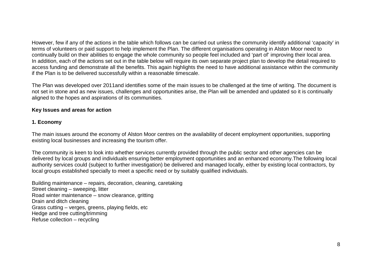However, few if any of the actions in the table which follows can be carried out unless the community identify additional 'capacity' in terms of volunteers or paid support to help implement the Plan. The different organisations operating in Alston Moor need to continually build on their abilities to engage the whole community so people feel included and 'part of' improving their local area. In addition, each of the actions set out in the table below will require its own separate project plan to develop the detail required to access funding and demonstrate all the benefits. This again highlights the need to have additional assistance within the community if the Plan is to be delivered successfully within a reasonable timescale.

The Plan was developed over 2011and identifies some of the main issues to be challenged at the time of writing. The document is not set in stone and as new issues, challenges and opportunities arise, the Plan will be amended and updated so it is continually aligned to the hopes and aspirations of its communities.

## **Key Issues and areas for action**

## **1. Economy**

The main issues around the economy of Alston Moor centres on the availability of decent employment opportunities, supporting existing local businesses and increasing the tourism offer.

The community is keen to look into whether services currently provided through the public sector and other agencies can be delivered by local groups and individuals ensuring better employment opportunities and an enhanced economy.The following local authority services could (subject to further investigation) be delivered and managed locally, either by existing local contractors, by local groups established specially to meet a specific need or by suitably qualified individuals.

Building maintenance – repairs, decoration, cleaning, caretaking Street cleaning – sweeping, litter Road winter maintenance – snow clearance, gritting Drain and ditch cleaning Grass cutting – verges, greens, playing fields, etcHedge and tree cutting/trimming Refuse collection – recycling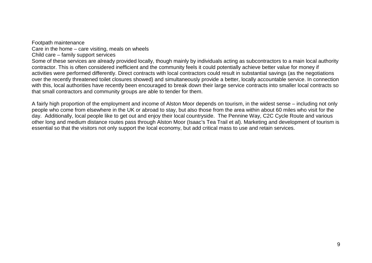Footpath maintenance Care in the home – care visiting, meals on wheels Child care – family support services Some of these services are already provided locally, though mainly by individuals acting as subcontractors to a main local authority contractor. This is often considered inefficient and the community feels it could potentially achieve better value for money if activities were performed differently. Direct contracts with local contractors could result in substantial savings (as the negotiations over the recently threatened toilet closures showed) and simultaneously provide a better, locally accountable service. In connection with this, local authorities have recently been encouraged to break down their large service contracts into smaller local contracts so that small contractors and community groups are able to tender for them.

A fairly high proportion of the employment and income of Alston Moor depends on tourism, in the widest sense – including not only people who come from elsewhere in the UK or abroad to stay, but also those from the area within about 60 miles who visit for the day. Additionally, local people like to get out and enjoy their local countryside. The Pennine Way, C2C Cycle Route and various other long and medium distance routes pass through Alston Moor (Isaac's Tea Trail et al). Marketing and development of tourism is essential so that the visitors not only support the local economy, but add critical mass to use and retain services.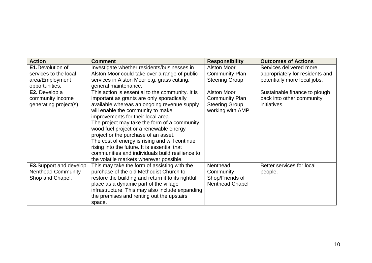| <b>Action</b>                  | <b>Comment</b>                                     | <b>Responsibility</b>  | <b>Outcomes of Actions</b>      |
|--------------------------------|----------------------------------------------------|------------------------|---------------------------------|
| <b>E1.Devolution of</b>        | Investigate whether residents/businesses in        | <b>Alston Moor</b>     | Services delivered more         |
| services to the local          | Alston Moor could take over a range of public      | <b>Community Plan</b>  | appropriately for residents and |
| area/Employment                | services in Alston Moor e.g. grass cutting,        | <b>Steering Group</b>  | potentially more local jobs.    |
| opportunities.                 | general maintenance.                               |                        |                                 |
| E2. Develop a                  | This action is essential to the community. It is   | <b>Alston Moor</b>     | Sustainable finance to plough   |
| community income               | important as grants are only sporadically          | <b>Community Plan</b>  | back into other community       |
| generating project(s).         | available whereas an ongoing revenue supply        | <b>Steering Group</b>  | initiatives.                    |
|                                | will enable the community to make                  | working with AMP       |                                 |
|                                | improvements for their local area.                 |                        |                                 |
|                                | The project may take the form of a community       |                        |                                 |
|                                | wood fuel project or a renewable energy            |                        |                                 |
|                                | project or the purchase of an asset.               |                        |                                 |
|                                | The cost of energy is rising and will continue     |                        |                                 |
|                                | rising into the future. It is essential that       |                        |                                 |
|                                | communities and individuals build resilience to    |                        |                                 |
|                                | the volatile markets wherever possible.            |                        |                                 |
| <b>E3.</b> Support and develop | This may take the form of assisting with the       | Nenthead               | Better services for local       |
| <b>Nenthead Community</b>      | purchase of the old Methodist Church to            | Community              | people.                         |
| Shop and Chapel.               | restore the building and return it to its rightful | Shop/Friends of        |                                 |
|                                | place as a dynamic part of the village             | <b>Nenthead Chapel</b> |                                 |
|                                | infrastructure. This may also include expanding    |                        |                                 |
|                                | the premises and renting out the upstairs          |                        |                                 |
|                                | space.                                             |                        |                                 |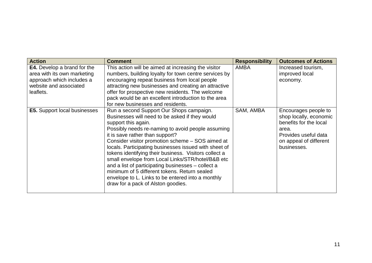| <b>Action</b>                                                                                                                         | <b>Comment</b>                                                                                                                                                                                                                                                                                                                                                                                                                                                                                                                                                                                                                        | <b>Responsibility</b> | <b>Outcomes of Actions</b>                                                                                                                         |
|---------------------------------------------------------------------------------------------------------------------------------------|---------------------------------------------------------------------------------------------------------------------------------------------------------------------------------------------------------------------------------------------------------------------------------------------------------------------------------------------------------------------------------------------------------------------------------------------------------------------------------------------------------------------------------------------------------------------------------------------------------------------------------------|-----------------------|----------------------------------------------------------------------------------------------------------------------------------------------------|
| <b>E4.</b> Develop a brand for the<br>area with its own marketing<br>approach which includes a<br>website and associated<br>leaflets. | This action will be aimed at increasing the visitor<br>numbers, building loyalty for town centre services by<br>encouraging repeat business from local people<br>attracting new businesses and creating an attractive<br>offer for prospective new residents. The welcome<br>pack would be an excellent introduction to the area<br>for new businesses and residents.                                                                                                                                                                                                                                                                 | AMBA                  | Increased tourism,<br>improved local<br>economy.                                                                                                   |
| <b>E5.</b> Support local businesses                                                                                                   | Run a second Support Our Shops campaign.<br>Businesses will need to be asked if they would<br>support this again.<br>Possibly needs re-naming to avoid people assuming<br>it is save rather than support?<br>Consider visitor promotion scheme - SOS aimed at<br>locals. Participating businesses issued with sheet of<br>tokens identifying their business. Visitors collect a<br>small envelope from Local Links/STR/hotel/B&B etc<br>and a list of participating businesses – collect a<br>minimum of 5 different tokens. Return sealed<br>envelope to L. Links to be entered into a monthly<br>draw for a pack of Alston goodies. | SAM, AMBA             | Encourages people to<br>shop locally, economic<br>benefits for the local<br>area.<br>Provides useful data<br>on appeal of different<br>businesses. |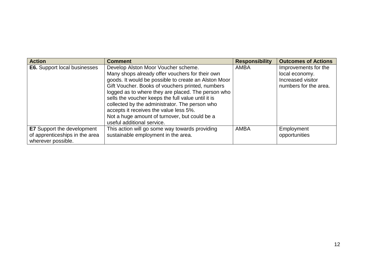| <b>Action</b>                                                                             | <b>Comment</b>                                                                                                                                                                                                                                                                                                                                                                                                                                              | <b>Responsibility</b> | <b>Outcomes of Actions</b>                                                           |
|-------------------------------------------------------------------------------------------|-------------------------------------------------------------------------------------------------------------------------------------------------------------------------------------------------------------------------------------------------------------------------------------------------------------------------------------------------------------------------------------------------------------------------------------------------------------|-----------------------|--------------------------------------------------------------------------------------|
| <b>E6.</b> Support local businesses                                                       | Develop Alston Moor Voucher scheme.<br>Many shops already offer vouchers for their own<br>goods. It would be possible to create an Alston Moor<br>Gift Voucher. Books of vouchers printed, numbers<br>logged as to where they are placed. The person who<br>sells the voucher keeps the full value until it is<br>collected by the administrator. The person who<br>accepts it receives the value less 5%.<br>Not a huge amount of turnover, but could be a | <b>AMBA</b>           | Improvements for the<br>local economy.<br>Increased visitor<br>numbers for the area. |
|                                                                                           | useful additional service.                                                                                                                                                                                                                                                                                                                                                                                                                                  |                       |                                                                                      |
| <b>E7</b> Support the development<br>of apprenticeships in the area<br>wherever possible. | This action will go some way towards providing<br>sustainable employment in the area.                                                                                                                                                                                                                                                                                                                                                                       | <b>AMBA</b>           | Employment<br>opportunities                                                          |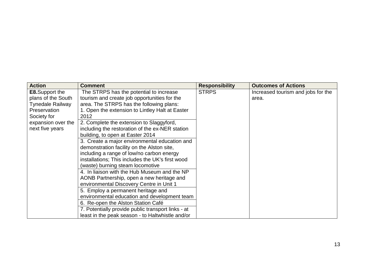| <b>Action</b>           | <b>Comment</b>                                     | <b>Responsibility</b> | <b>Outcomes of Actions</b>         |
|-------------------------|----------------------------------------------------|-----------------------|------------------------------------|
| <b>E8.</b> Support the  | The STRPS has the potential to increase            | <b>STRPS</b>          | Increased tourism and jobs for the |
| plans of the South      | tourism and create job opportunities for the       |                       | area.                              |
| <b>Tynedale Railway</b> | area. The STRPS has the following plans:           |                       |                                    |
| Preservation            | 1. Open the extension to Lintley Halt at Easter    |                       |                                    |
| Society for             | 2012                                               |                       |                                    |
| expansion over the      | 2. Complete the extension to Slaggyford,           |                       |                                    |
| next five years         | including the restoration of the ex-NER station    |                       |                                    |
|                         | building, to open at Easter 2014                   |                       |                                    |
|                         | 3. Create a major environmental education and      |                       |                                    |
|                         | demonstration facility on the Alston site,         |                       |                                    |
|                         | including a range of low/no carbon energy          |                       |                                    |
|                         | installations; This includes the UK's first wood   |                       |                                    |
|                         | (waste) burning steam locomotive                   |                       |                                    |
|                         | 4. In liaison with the Hub Museum and the NP       |                       |                                    |
|                         | AONB Partnership, open a new heritage and          |                       |                                    |
|                         | environmental Discovery Centre in Unit 1           |                       |                                    |
|                         | 5. Employ a permanent heritage and                 |                       |                                    |
|                         | environmental education and development team       |                       |                                    |
|                         | 6. Re-open the Alston Station Café                 |                       |                                    |
|                         | 7. Potentially provide public transport links - at |                       |                                    |
|                         | least in the peak season - to Haltwhistle and/or   |                       |                                    |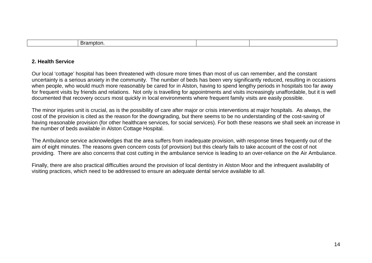| ,,, |  |  |
|-----|--|--|
|     |  |  |

## **2. Health Service**

Our local 'cottage' hospital has been threatened with closure more times than most of us can remember, and the constant uncertainty is a serious anxiety in the community. The number of beds has been very significantly reduced, resulting in occasions when people, who would much more reasonably be cared for in Alston, having to spend lengthy periods in hospitals too far away for frequent visits by friends and relations. Not only is travelling for appointments and visits increasingly unaffordable, but it is well documented that recovery occurs most quickly in local environments where frequent family visits are easily possible.

The minor injuries unit is crucial, as is the possibility of care after major or crisis interventions at major hospitals. As always, the cost of the provision is cited as the reason for the downgrading, but there seems to be no understanding of the cost-saving of having reasonable provision (for other healthcare services, for social services). For both these reasons we shall seek an increase in the number of beds available in Alston Cottage Hospital.

The Ambulance service acknowledges that the area suffers from inadequate provision, with response times frequently out of the aim of eight minutes. The reasons given concern costs (of provision) but this clearly fails to take account of the cost of not providing. There are also concerns that cost cutting in the ambulance service is leading to an over-reliance on the Air Ambulance.

Finally, there are also practical difficulties around the provision of local dentistry in Alston Moor and the infrequent availability of visiting practices, which need to be addressed to ensure an adequate dental service available to all.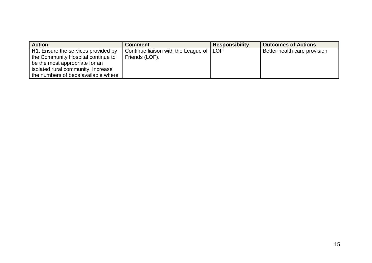| <b>Action</b>                              | <b>Comment</b>                            | <b>Responsibility</b> | <b>Outcomes of Actions</b>   |
|--------------------------------------------|-------------------------------------------|-----------------------|------------------------------|
| <b>H1.</b> Ensure the services provided by | Continue liaison with the League of   LOF |                       | Better health care provision |
| the Community Hospital continue to         | Friends (LOF).                            |                       |                              |
| be the most appropriate for an             |                                           |                       |                              |
| isolated rural community. Increase         |                                           |                       |                              |
| the numbers of beds available where        |                                           |                       |                              |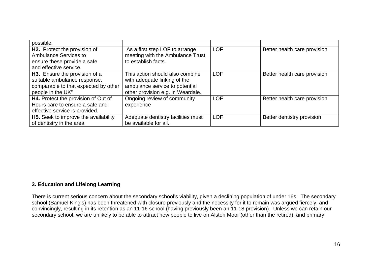| possible.                                                    |                                                                    |            |                              |
|--------------------------------------------------------------|--------------------------------------------------------------------|------------|------------------------------|
| H2. Protect the provision of<br><b>Ambulance Services to</b> | As a first step LOF to arrange<br>meeting with the Ambulance Trust | <b>LOF</b> | Better health care provision |
| ensure these provide a safe                                  | to establish facts.                                                |            |                              |
| and effective service.                                       |                                                                    |            |                              |
| H3. Ensure the provision of a                                | This action should also combine                                    | <b>LOF</b> | Better health care provision |
| suitable ambulance response,                                 | with adequate linking of the                                       |            |                              |
| comparable to that expected by other                         | ambulance service to potential                                     |            |                              |
| people in the UK"                                            | other provision e.g. in Weardale.                                  |            |                              |
| H4. Protect the provision of Out of                          | Ongoing review of community                                        | <b>LOF</b> | Better health care provision |
| Hours care to ensure a safe and                              | experience                                                         |            |                              |
| effective service is provided.                               |                                                                    |            |                              |
| H5. Seek to improve the availability                         | Adequate dentistry facilities must                                 | <b>LOF</b> | Better dentistry provision   |
| of dentistry in the area.                                    | be available for all.                                              |            |                              |

## **3. Education and Lifelong Learning**

There is current serious concern about the secondary school's viability, given a declining population of under 16s. The secondary school (Samuel King's) has been threatened with closure previously and the necessity for it to remain was argued fiercely, and convincingly, resulting in its retention as an 11-16 school (having previously been an 11-18 provision). Unless we can retain our secondary school, we are unlikely to be able to attract new people to live on Alston Moor (other than the retired), and primary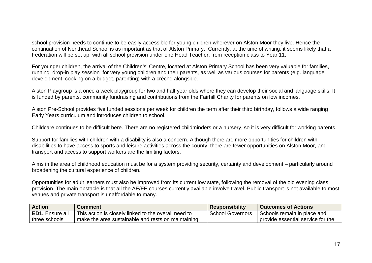school provision needs to continue to be easily accessible for young children wherever on Alston Moor they live. Hence the continuation of Nenthead School is as important as that of Alston Primary. Currently, at the time of writing, it seems likely that a Federation will be set up, with all school provision under one Head Teacher, from reception class to Year 11.

For younger children, the arrival of the Children's' Centre, located at Alston Primary School has been very valuable for families, running drop-in play session for very young children and their parents, as well as various courses for parents (e.g. language development, cooking on a budget, parenting) with a crèche alongside.

Alston Playgroup is a once a week playgroup for two and half year olds where they can develop their social and language skills. It is funded by parents, community fundraising and contributions from the Fairhill Charity for parents on low incomes.

Alston Pre-School provides five funded sessions per week for children the term after their third birthday, follows a wide ranging Early Years curriculum and introduces children to school.

Childcare continues to be difficult here. There are no registered childminders or a nursery, so it is very difficult for working parents.

Support for families with children with a disability is also a concern. Although there are more opportunities for children with disabilities to have access to sports and leisure activities across the county, there are fewer opportunities on Alston Moor, and transport and access to support workers are the limiting factors.

Aims in the area of childhood education must be for a system providing security, certainty and development – particularly around broadening the cultural experience of children.

Opportunities for adult learners must also be improved from its current low state, following the removal of the old evening class provision. The main obstacle is that all the AE/FE courses currently available involve travel. Public transport is not available to most venues and private transport is unaffordable to many.

| <b>Action</b>          | Comment                                              | <b>Responsibility</b>   | <b>Outcomes of Actions</b>          |
|------------------------|------------------------------------------------------|-------------------------|-------------------------------------|
| <b>ED1.</b> Ensure all | This action is closely linked to the overall need to | <b>School Governors</b> | Schools remain in place and         |
| three schools          | make the area sustainable and rests on maintaining   |                         | provide essential service for the ' |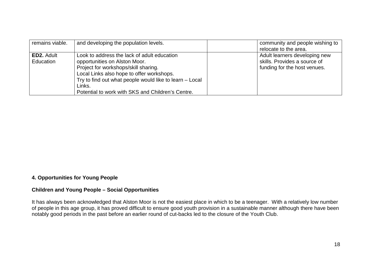| remains viable.   | and developing the population levels.                   | community and people wishing to |
|-------------------|---------------------------------------------------------|---------------------------------|
|                   |                                                         | relocate to the area.           |
| <b>ED2. Adult</b> | Look to address the lack of adult education             | Adult learners developing new   |
| Education         | opportunities on Alston Moor.                           | skills. Provides a source of    |
|                   | Project for workshops/skill sharing.                    | funding for the host venues.    |
|                   | Local Links also hope to offer workshops.               |                                 |
|                   | Try to find out what people would like to learn – Local |                                 |
|                   | Links.                                                  |                                 |
|                   | Potential to work with SKS and Children's Centre.       |                                 |

## **4. Opportunities for Young People**

#### **Children and Young People – Social Opportunities**

It has always been acknowledged that Alston Moor is not the easiest place in which to be a teenager. With a relatively low number of people in this age group, it has proved difficult to ensure good youth provision in a sustainable manner although there have been notably good periods in the past before an earlier round of cut-backs led to the closure of the Youth Club.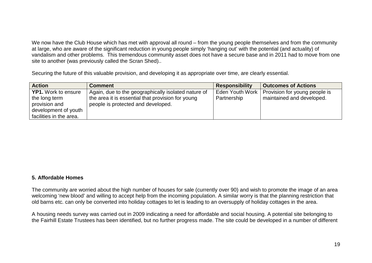We now have the Club House which has met with approval all round – from the young people themselves and from the community at large, who are aware of the significant reduction in young people simply 'hanging out' with the potential (and actuality) of vandalism and other problems. This tremendous community asset does not have a secure base and in 2011 had to move from one site to another (was previously called the Scran Shed)..

Securing the future of this valuable provision, and developing it as appropriate over time, are clearly essential.

| <b>Action</b>              | <b>Comment</b>                                      | <b>Responsibility</b> | <b>Outcomes of Actions</b>           |
|----------------------------|-----------------------------------------------------|-----------------------|--------------------------------------|
| <b>YP1.</b> Work to ensure | Again, due to the geographically isolated nature of | Eden Youth Work       | <b>Provision for young people is</b> |
| the long term              | the area it is essential that provision for young   | Partnership           | maintained and developed.            |
| provision and              | people is protected and developed.                  |                       |                                      |
| development of youth       |                                                     |                       |                                      |
| facilities in the area.    |                                                     |                       |                                      |

## **5. Affordable Homes**

The community are worried about the high number of houses for sale (currently over 90) and wish to promote the image of an area welcoming 'new blood' and willing to accept help from the incoming population. A similar worry is that the planning restriction that old barns etc. can only be converted into holiday cottages to let is leading to an oversupply of holiday cottages in the area.

A housing needs survey was carried out in 2009 indicating a need for affordable and social housing. A potential site belonging to the Fairhill Estate Trustees has been identified, but no further progress made. The site could be developed in a number of different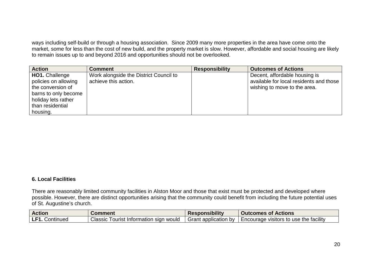ways including self-build or through a housing association. Since 2009 many more properties in the area have come onto the market, some for less than the cost of new build, and the property market is slow. However, affordable and social housing are likely to remain issues up to and beyond 2016 and opportunities should not be overlooked.

| <b>Action</b>                                                                                                                                     | <b>Comment</b>                                                 | <b>Responsibility</b> | <b>Outcomes of Actions</b>                                                                               |
|---------------------------------------------------------------------------------------------------------------------------------------------------|----------------------------------------------------------------|-----------------------|----------------------------------------------------------------------------------------------------------|
| <b>HO1.</b> Challenge<br>policies on allowing<br>the conversion of<br>barns to only become<br>holiday lets rather<br>than residential<br>housing. | Work alongside the District Council to<br>achieve this action. |                       | Decent, affordable housing is<br>available for local residents and those<br>wishing to move to the area. |

## **6. Local Facilities**

There are reasonably limited community facilities in Alston Moor and those that exist must be protected and developed where possible. However, there are distinct opportunities arising that the community could benefit from including the future potential uses of St. Augustine's church.

| <b>Action</b>       | Comment                                   | <b>Responsibility</b>  | <b>Outcomes of Actions</b>               |
|---------------------|-------------------------------------------|------------------------|------------------------------------------|
| LF1.<br>. Continued | Classic<br>Tourist Information sign would | I Grant application by | l Encourage visitors to use the facility |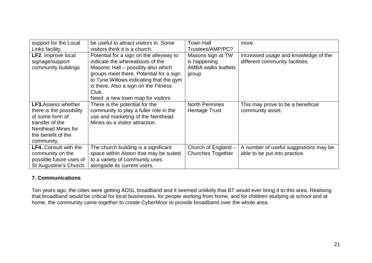| support for the Local        | be useful to attract visitors in. Some  | <b>Town Hall</b>           | more.                                 |
|------------------------------|-----------------------------------------|----------------------------|---------------------------------------|
| Links facility.              | visitors think it is a church.          | Trustees/AMP/PC?           |                                       |
| <b>LF2.</b> Improve local    | Potential for a sign on the alleyway to | Masons sign at TW          | Increased usage and knowledge of the  |
| signage/support              | indicate the whereabouts of the         | is happening               | different community facilities.       |
| community buildings          | Masonic Hall – possibly also which      | <b>AMBA walks leaflets</b> |                                       |
|                              | groups meet there. Potential for a sign | group                      |                                       |
|                              | to Tyne Willows indicating that the gym |                            |                                       |
|                              | is there, Also a sign on the Fitness    |                            |                                       |
|                              | Club.                                   |                            |                                       |
|                              | Need a new town map for visitors        |                            |                                       |
| <b>LF3.</b> Assess whether   | There is the potential for the          | <b>North Pennines</b>      | This may prove to be a beneficial     |
| there is the possibility     | community to play a fuller role in the  | Heritage Trust             | community asset.                      |
| of some form of              | use and marketing of the Nenthead       |                            |                                       |
| transfer of the              | Mines as a visitor attraction.          |                            |                                       |
| Nenthead Mines for           |                                         |                            |                                       |
| the benefit of the           |                                         |                            |                                       |
| community.                   |                                         |                            |                                       |
| <b>LF4.</b> Consult with the | The church building is a significant    | Church of England -        | A number of useful suggestions may be |
| community on the             | space within Alston that may be suited  | <b>Churches Together</b>   | able to be put into practice.         |
| possible future uses of      | to a variety of community uses          |                            |                                       |
| St Augustine's Church.       | alongside its current users.            |                            |                                       |

## **7. Communications**

Ten years ago, the cities were getting ADSL broadband and it seemed unlikely that BT would ever bring it to this area. Realising that broadband would be critical for local businesses, for people working from home, and for children studying at school and at home, the community came together to create CyberMoor to provide broadband over the whole area.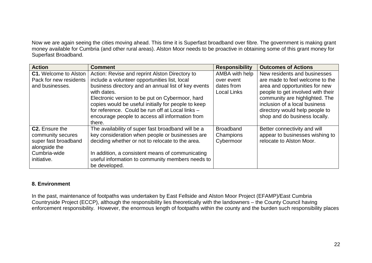Now we are again seeing the cities moving ahead. This time it is Superfast broadband over fibre. The government is making grant money available for Cumbria (and other rural areas). Alston Moor needs to be proactive in obtaining some of this grant money for Superfast Broadband.

| <b>Action</b>                | <b>Comment</b>                                      | <b>Responsibility</b> | <b>Outcomes of Actions</b>        |
|------------------------------|-----------------------------------------------------|-----------------------|-----------------------------------|
| <b>C1.</b> Welcome to Alston | Action: Revise and reprint Alston Directory to      | AMBA with help        | New residents and businesses      |
| Pack for new residents       | include a volunteer opportunities list, local       | over event            | are made to feel welcome to the   |
| and businesses.              | business directory and an annual list of key events | dates from            | area and opportunities for new    |
|                              | with dates.                                         | <b>Local Links</b>    | people to get involved with their |
|                              | Electronic version to be put on Cybermoor, hard     |                       | community are highlighted. The    |
|                              | copies would be useful initially for people to keep |                       | inclusion of a local business     |
|                              | for reference. Could be run off at Local links -    |                       | directory would help people to    |
|                              | encourage people to access all information from     |                       | shop and do business locally.     |
|                              | there.                                              |                       |                                   |
| <b>C2.</b> Ensure the        | The availability of super fast broadband will be a  | <b>Broadband</b>      | Better connectivity and will      |
| community secures            | key consideration when people or businesses are     | Champions             | appear to businesses wishing to   |
| super fast broadband         | deciding whether or not to relocate to the area.    | Cybermoor             | relocate to Alston Moor.          |
| alongside the                |                                                     |                       |                                   |
| Cumbria-wide                 | In addition, a consistent means of communicating    |                       |                                   |
| initiative.                  | useful information to community members needs to    |                       |                                   |
|                              | be developed.                                       |                       |                                   |

## **8. Environment**

In the past, maintenance of footpaths was undertaken by East Fellside and Alston Moor Project (EFAMP)/East Cumbria Countryside Project (ECCP), although the responsibility lies theoretically with the landowners – the County Council having enforcement responsibility. However, the enormous length of footpaths within the county and the burden such responsibility places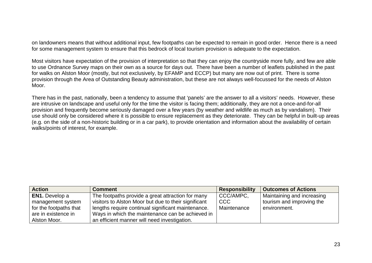on landowners means that without additional input, few footpaths can be expected to remain in good order. Hence there is a need for some management system to ensure that this bedrock of local tourism provision is adequate to the expectation.

Most visitors have expectation of the provision of interpretation so that they can enjoy the countryside more fully, and few are able to use Ordnance Survey maps on their own as a source for days out. There have been a number of leaflets published in the past for walks on Alston Moor (mostly, but not exclusively, by EFAMP and ECCP) but many are now out of print. There is some provision through the Area of Outstanding Beauty administration, but these are not always well-focussed for the needs of Alston Moor.

There has in the past, nationally, been a tendency to assume that 'panels' are the answer to all a visitors' needs. However, these are intrusive on landscape and useful only for the time the visitor is facing them; additionally, they are not a once-and-for-all provision and frequently become seriously damaged over a few years (by weather and wildlife as much as by vandalism). Their use should only be considered where it is possible to ensure replacement as they deteriorate. They can be helpful in built-up areas (e.g. on the side of a non-historic building or in a car park), to provide orientation and information about the availability of certain walks/points of interest, for example.

| <b>Action</b>          | <b>Comment</b>                                       | <b>Responsibility</b> | <b>Outcomes of Actions</b> |
|------------------------|------------------------------------------------------|-----------------------|----------------------------|
| <b>EN1.</b> Develop a  | The footpaths provide a great attraction for many    | CCC/AMPC,             | Maintaining and increasing |
| management system      | visitors to Alston Moor but due to their significant | l CCC l               | tourism and improving the  |
| for the footpaths that | lengths require continual significant maintenance.   | Maintenance           | environment.               |
| are in existence in    | Ways in which the maintenance can be achieved in     |                       |                            |
| Alston Moor.           | an efficient manner will need investigation.         |                       |                            |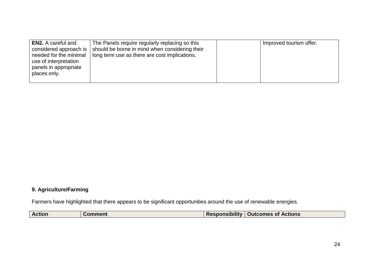| <b>EN2.</b> A careful and<br>considered approach is<br>needed for the minimal<br>use of interpretation<br>panels in appropriate<br>places only. | The Panels require regularly replacing so this<br>should be borne in mind when considering their<br>long term use as there are cost implications. |  | Improved tourism offer. |
|-------------------------------------------------------------------------------------------------------------------------------------------------|---------------------------------------------------------------------------------------------------------------------------------------------------|--|-------------------------|
|-------------------------------------------------------------------------------------------------------------------------------------------------|---------------------------------------------------------------------------------------------------------------------------------------------------|--|-------------------------|

## **9. Agriculture/Farming**

Farmers have highlighted that there appears to be significant opportunities around the use of renewable energies.

| <b>Action</b> | . | <b>Responsibility</b> | <b>Outcomes of Actions</b> |
|---------------|---|-----------------------|----------------------------|
|               |   |                       |                            |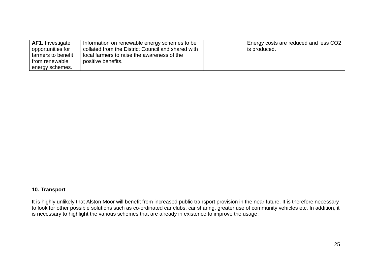| <b>AF1.</b> Investigate | Information on renewable energy schemes to be      | Energy costs are reduced and less CO2 |
|-------------------------|----------------------------------------------------|---------------------------------------|
| opportunities for       | collated from the District Council and shared with | s produced.                           |
| farmers to benefit      | local farmers to raise the awareness of the        |                                       |
| from renewable          | positive benefits.                                 |                                       |
| energy schemes.         |                                                    |                                       |

## **10. Transport**

It is highly unlikely that Alston Moor will benefit from increased public transport provision in the near future. It is therefore necessary to look for other possible solutions such as co-ordinated car clubs, car sharing, greater use of community vehicles etc. In addition, it is necessary to highlight the various schemes that are already in existence to improve the usage.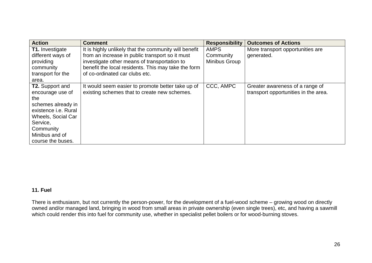| <b>Action</b>               | <b>Comment</b>                                        | <b>Responsibility</b> | <b>Outcomes of Actions</b>           |
|-----------------------------|-------------------------------------------------------|-----------------------|--------------------------------------|
| <b>T1.</b> Investigate      | It is highly unlikely that the community will benefit | <b>AMPS</b>           | More transport opportunities are     |
| different ways of           | from an increase in public transport so it must       | Community             | generated.                           |
| providing                   | investigate other means of transportation to          | Minibus Group         |                                      |
| community                   | benefit the local residents. This may take the form   |                       |                                      |
| transport for the           | of co-ordinated car clubs etc.                        |                       |                                      |
| area.                       |                                                       |                       |                                      |
| <b>T2.</b> Support and      | It would seem easier to promote better take up of     | CCC, AMPC             | Greater awareness of a range of      |
| encourage use of            | existing schemes that to create new schemes.          |                       | transport opportunities in the area. |
| the                         |                                                       |                       |                                      |
| schemes already in          |                                                       |                       |                                      |
| existence <i>i.e.</i> Rural |                                                       |                       |                                      |
| <b>Wheels, Social Car</b>   |                                                       |                       |                                      |
| Service,                    |                                                       |                       |                                      |
| Community                   |                                                       |                       |                                      |
| Minibus and of              |                                                       |                       |                                      |
| course the buses.           |                                                       |                       |                                      |

## **11. Fuel**

There is enthusiasm, but not currently the person-power, for the development of a fuel-wood scheme – growing wood on directly owned and/or managed land, bringing in wood from small areas in private ownership (even single trees), etc, and having a sawmill which could render this into fuel for community use, whether in specialist pellet boilers or for wood-burning stoves.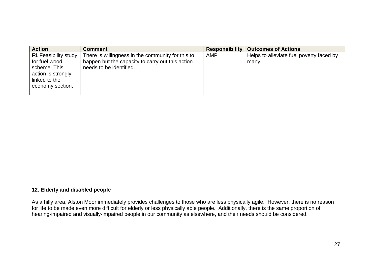| <b>Action</b>               | <b>Comment</b>                                    | <b>Responsibility</b> | <b>Outcomes of Actions</b>               |
|-----------------------------|---------------------------------------------------|-----------------------|------------------------------------------|
| <b>F1</b> Feasibility study | There is willingness in the community for this to | AMP                   | Helps to alleviate fuel poverty faced by |
| for fuel wood               | happen but the capacity to carry out this action  |                       | many.                                    |
| scheme. This                | needs to be identified.                           |                       |                                          |
| action is strongly          |                                                   |                       |                                          |
| linked to the               |                                                   |                       |                                          |
| economy section.            |                                                   |                       |                                          |
|                             |                                                   |                       |                                          |

#### **12. Elderly and disabled people**

As a hilly area, Alston Moor immediately provides challenges to those who are less physically agile. However, there is no reason for life to be made even more difficult for elderly or less physically able people. Additionally, there is the same proportion of hearing-impaired and visually-impaired people in our community as elsewhere, and their needs should be considered.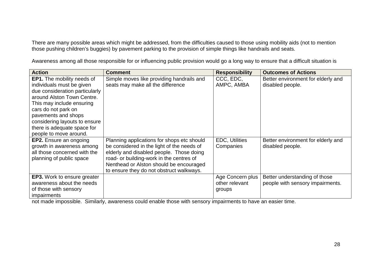There are many possible areas which might be addressed, from the difficulties caused to those using mobility aids (not to mention those pushing children's buggies) by pavement parking to the provision of simple things like handrails and seats.

| <b>Action</b>                      | <b>Comment</b>                             | <b>Responsibility</b> | <b>Outcomes of Actions</b>         |
|------------------------------------|--------------------------------------------|-----------------------|------------------------------------|
| <b>EP1.</b> The mobility needs of  | Simple moves like providing handrails and  | CCC, EDC,             | Better environment for elderly and |
| individuals must be given          | seats may make all the difference          | AMPC, AMBA            | disabled people.                   |
| due consideration particularly     |                                            |                       |                                    |
| around Alston Town Centre.         |                                            |                       |                                    |
| This may include ensuring          |                                            |                       |                                    |
| cars do not park on                |                                            |                       |                                    |
| pavements and shops                |                                            |                       |                                    |
| considering layouts to ensure      |                                            |                       |                                    |
| there is adequate space for        |                                            |                       |                                    |
| people to move around.             |                                            |                       |                                    |
| <b>EP2.</b> Ensure an ongoing      | Planning applications for shops etc should | <b>EDC, Utilities</b> | Better environment for elderly and |
| growth in awareness among          | be considered in the light of the needs of | Companies             | disabled people.                   |
| all those concerned with the       | elderly and disabled people. Those doing   |                       |                                    |
| planning of public space           | road- or building-work in the centres of   |                       |                                    |
|                                    | Nenthead or Alston should be encouraged    |                       |                                    |
|                                    | to ensure they do not obstruct walkways.   |                       |                                    |
| <b>EP3.</b> Work to ensure greater |                                            | Age Concern plus      | Better understanding of those      |
| awareness about the needs          |                                            | other relevant        | people with sensory impairments.   |
| of those with sensory              |                                            | groups                |                                    |
| <i>impairments</i>                 |                                            |                       |                                    |

Awareness among all those responsible for or influencing public provision would go a long way to ensure that a difficult situation is

not made impossible. Similarly, awareness could enable those with sensory impairments to have an easier time.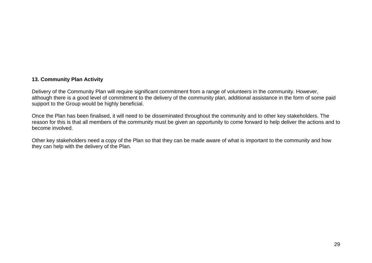## **13. Community Plan Activity**

Delivery of the Community Plan will require significant commitment from a range of volunteers in the community. However, although there is a good level of commitment to the delivery of the community plan, additional assistance in the form of some paid support to the Group would be highly beneficial.

Once the Plan has been finalised, it will need to be disseminated throughout the community and to other key stakeholders. The reason for this is that all members of the community must be given an opportunity to come forward to help deliver the actions and to become involved.

Other key stakeholders need a copy of the Plan so that they can be made aware of what is important to the community and how they can help with the delivery of the Plan.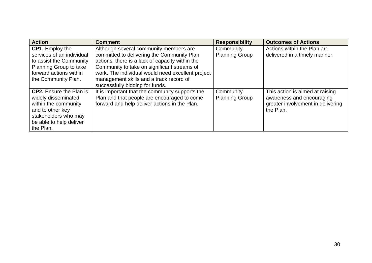| <b>Action</b>                  | <b>Comment</b>                                    | <b>Responsibility</b> | <b>Outcomes of Actions</b>        |
|--------------------------------|---------------------------------------------------|-----------------------|-----------------------------------|
| <b>CP1.</b> Employ the         | Although several community members are            | Community             | Actions within the Plan are       |
| services of an individual      | committed to delivering the Community Plan        | <b>Planning Group</b> | delivered in a timely manner.     |
| to assist the Community        | actions, there is a lack of capacity within the   |                       |                                   |
| Planning Group to take         | Community to take on significant streams of       |                       |                                   |
| forward actions within         | work. The individual would need excellent project |                       |                                   |
| the Community Plan.            | management skills and a track record of           |                       |                                   |
|                                | successfully bidding for funds.                   |                       |                                   |
| <b>CP2.</b> Ensure the Plan is | It is important that the community supports the   | Community             | This action is aimed at raising   |
| widely disseminated            | Plan and that people are encouraged to come       | <b>Planning Group</b> | awareness and encouraging         |
| within the community           | forward and help deliver actions in the Plan.     |                       | greater involvement in delivering |
| and to other key               |                                                   |                       | the Plan.                         |
| stakeholders who may           |                                                   |                       |                                   |
| be able to help deliver        |                                                   |                       |                                   |
| the Plan.                      |                                                   |                       |                                   |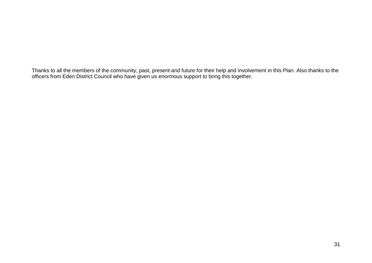Thanks to all the members of the community, past, present and future for their help and involvement in this Plan. Also thanks to the<br>officers from Eden District Council who have given us enormous support to bring this toge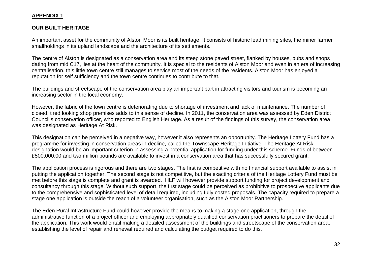## **APPENDIX 1**

## **OUR BUILT HERITAGE**

An important asset for the community of Alston Moor is its built heritage. It consists of historic lead mining sites, the miner farmer smallholdings in its upland landscape and the architecture of its settlements.

The centre of Alston is designated as a conservation area and its steep stone paved street, flanked by houses, pubs and shops dating from mid C17, lies at the heart of the community. It is special to the residents of Alston Moor and even in an era of increasing centralisation, this little town centre still manages to service most of the needs of the residents. Alston Moor has enjoyed a reputation for self sufficiency and the town centre continues to contribute to that.

The buildings and streetscape of the conservation area play an important part in attracting visitors and tourism is becoming an increasing sector in the local economy.

However, the fabric of the town centre is deteriorating due to shortage of investment and lack of maintenance. The number of closed, tired looking shop premises adds to this sense of decline. In 2011, the conservation area was assessed by Eden District Council's conservation officer, who reported to English Heritage. As a result of the findings of this survey, the conservation area was designated as Heritage At Risk.

This designation can be perceived in a negative way, however it also represents an opportunity. The Heritage Lottery Fund has a programme for investing in conservation areas in decline, called the Townscape Heritage Initiative. The Heritage At Risk designation would be an important criterion in assessing a potential application for funding under this scheme. Funds of between £500,000.00 and two million pounds are available to invest in a conservation area that has successfully secured grant.

The application process is rigorous and there are two stages. The first is competitive with no financial support available to assist in putting the application together. The second stage is not competitive, but the exacting criteria of the Heritage Lottery Fund must be met before this stage is complete and grant is awarded. HLF will however provide support funding for project development and consultancy through this stage. Without such support, the first stage could be perceived as prohibitive to prospective applicants due to the comprehensive and sophisticated level of detail required, including fully costed proposals. The capacity required to prepare a stage one application is outside the reach of a volunteer organisation, such as the Alston Moor Partnership.

The Eden Rural Infrastructure Fund could however provide the means to making a stage one application, through the administrative function of a project officer and employing appropriately qualified conservation practitioners to prepare the detail of the application. This work would entail making a detailed assessment of the buildings and streetscape of the conservation area, establishing the level of repair and renewal required and calculating the budget required to do this.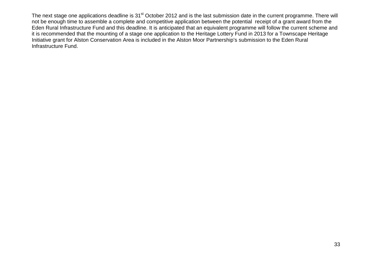The next stage one applications deadline is 31<sup>st</sup> October 2012 and is the last submission date in the current programme. There will not be enough time to assemble a complete and competitive application between the potential receipt of a grant award from the Eden Rural Infrastructure Fund and this deadline. It is anticipated that an equivalent programme will follow the current scheme and it is recommended that the mounting of a stage one application to the Heritage Lottery Fund in 2013 for a Townscape Heritage Initiative grant for Alston Conservation Area is included in the Alston Moor Partnership's submission to the Eden Rural Infrastructure Fund.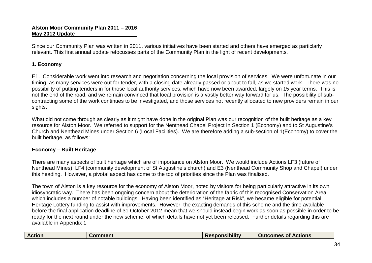Since our Community Plan was written in 2011, various initiatives have been started and others have emerged as particlarly relevant. This first annual update refocusses parts of the Community Plan in the light of recent developments.

## **1. Economy**

E1. Considerable work went into research and negotiation concerning the local provision of services. We were unfortunate in our timing, as many services were out for tender, with a closing date already passed or about to fall, as we started work. There was no possibility of putting tenders in for those local authority services, which have now been awarded, largely on 15 year terms. This is not the end of the road, and we remain convinced that local provision is a vastly better way forward for us. The possibility of subcontracting some of the work continues to be investigated, and those services not recently allocated to new providers remain in our sights.

What did not come through as clearly as it might have done in the original Plan was our recognition of the built heritage as a key resource for Alston Moor. We referred to support for the Nenthead Chapel Project In Section 1 (Economy) and to St Augustine's Church and Nenthead Mines under Section 6 (Local Facilities). We are therefore adding a sub-section of 1(Economy) to cover the built heritage, as follows:

## **Economy – Built Heritage**

There are many aspects of built heritage which are of importance on Alston Moor. We would include Actions LF3 (future of Nenthead Mines), LF4 (community development of St Augustine's church) and E3 (Nenthead Community Shop and Chapel) under this heading. However, a pivotal aspect has come to the top of priorities since the Plan was finalised.

The town of Alston is a key resource for the economy of Alston Moor, noted by visitors for being particularly attractive in its own idiosyncratic way. There has been ongoing concern about the deterioration of the fabric of this recognised Conservation Area, which includes a number of notable buildings. Having been identified as "Heritage at Risk", we became eligible for potential Heritage Lottery funding to assist with improvements. However, the exacting demands of this scheme and the time available before the final application deadline of 31 October 2012 mean that we should instead begin work as soon as possible in order to be ready for the next round under the new scheme, of which details have not yet been released. Further details regarding this are available in Appendix 1.

|  | <b>Action</b> | $\blacksquare$ ment | <b>Responsibility</b> | <b>Actions</b><br><b>Outcor</b><br>5 <sub>me</sub><br><b>ot</b> |
|--|---------------|---------------------|-----------------------|-----------------------------------------------------------------|
|--|---------------|---------------------|-----------------------|-----------------------------------------------------------------|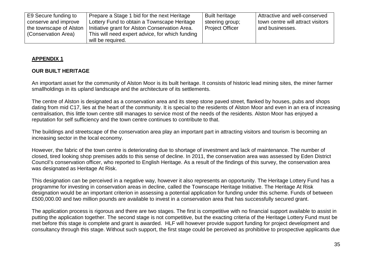| E9 Secure funding to<br>conserve and improve<br>the townscape of Alston<br>(Conservation Area) | Prepare a Stage 1 bid for the next Heritage<br>Lottery Fund to obtain a Townscape Heritage<br>Initiative grant for Alston Conservation Area.<br>This will need expert advice, for which funding | <b>Built heritage</b><br>steering group;<br><b>Project Officer</b> | Attractive and well-conserved<br>town centre will attract visitors<br>and businesses. |
|------------------------------------------------------------------------------------------------|-------------------------------------------------------------------------------------------------------------------------------------------------------------------------------------------------|--------------------------------------------------------------------|---------------------------------------------------------------------------------------|
|                                                                                                | will be required.                                                                                                                                                                               |                                                                    |                                                                                       |

## **APPENDIX 1**

## **OUR BUILT HERITAGE**

An important asset for the community of Alston Moor is its built heritage. It consists of historic lead mining sites, the miner farmer smallholdings in its upland landscape and the architecture of its settlements.

The centre of Alston is designated as a conservation area and its steep stone paved street, flanked by houses, pubs and shops dating from mid C17, lies at the heart of the community. It is special to the residents of Alston Moor and even in an era of increasing centralisation, this little town centre still manages to service most of the needs of the residents. Alston Moor has enjoyed a reputation for self sufficiency and the town centre continues to contribute to that.

The buildings and streetscape of the conservation area play an important part in attracting visitors and tourism is becoming an increasing sector in the local economy.

However, the fabric of the town centre is deteriorating due to shortage of investment and lack of maintenance. The number of closed, tired looking shop premises adds to this sense of decline. In 2011, the conservation area was assessed by Eden District Council's conservation officer, who reported to English Heritage. As a result of the findings of this survey, the conservation area was designated as Heritage At Risk.

This designation can be perceived in a negative way, however it also represents an opportunity. The Heritage Lottery Fund has a programme for investing in conservation areas in decline, called the Townscape Heritage Initiative. The Heritage At Risk designation would be an important criterion in assessing a potential application for funding under this scheme. Funds of between £500,000.00 and two million pounds are available to invest in a conservation area that has successfully secured grant.

The application process is rigorous and there are two stages. The first is competitive with no financial support available to assist in putting the application together. The second stage is not competitive, but the exacting criteria of the Heritage Lottery Fund must be met before this stage is complete and grant is awarded. HLF will however provide support funding for project development and consultancy through this stage. Without such support, the first stage could be perceived as prohibitive to prospective applicants due